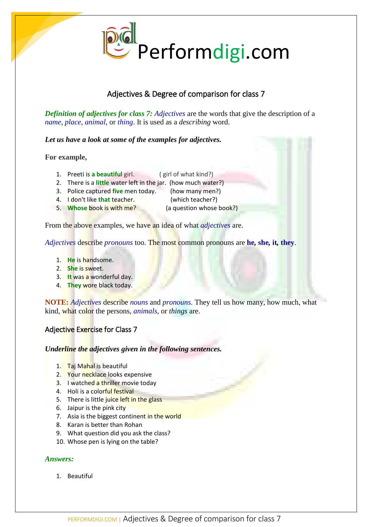

# Adjectives & Degree of comparison for class 7

*Definition of adjectives for class 7: Adjectives* are the words that give the description of a *name*, *place*, *animal*, or *thing*. It is used as a *describing* word.

*Let us have a look at some of the examples for adjectives.*

# **For example,**

- 1. Preeti is **a beautiful** girl. ( girl of what kind?)
- 2. There is a **little** water left in the jar. (how much water?)
- 3. Police captured **five** men today. (how many men?)
- 4. I don't like **that** teacher. (which teacher?)
- 5. **Whose** book is with me? (a question whose book?)

From the above examples, we have an idea of what *adjectives* are.

*Adjectives* describe *pronouns* too. The most common pronouns are **he***,* **she***,* **it***,* **they**.

- 1. **He** is handsome.
- 2. **She** is sweet.
- 3. **It** was a wonderful day.
- 4. **They** wore black today.

**NOTE:** *Adjectives* describe *nouns* and *pronouns*. They tell us how many, how much, what kind, what color the persons, *animals,* or *things* are.

# Adjective Exercise for Class 7

*Underline the adjectives given in the following sentences.*

- 1. Taj Mahal is beautiful
- 2. Your necklace looks expensive
- 3. I watched a thriller movie today
- 4. Holi is a colorful festival
- 5. There is little juice left in the glass
- 6. Jaipur is the pink city
- 7. Asia is the biggest continent in the world
- 8. Karan is better than Rohan
- 9. What question did you ask the class?
- 10. Whose pen is lying on the table?

# *Answers:*

1. Beautiful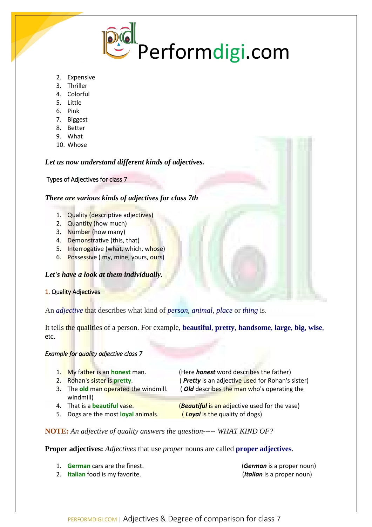

- 2. Expensive
- 3. Thriller
- 4. Colorful
- 5. Little
- 6. Pink
- 7. Biggest
- 8. Better
- 9. What
- 10. Whose

# *Let us now understand different kinds of adjectives.*

### Types of Adjectives for class 7

# *There are various kinds of adjectives for class 7th*

- 1. Quality (descriptive adjectives)
- 2. Quantity (how much)
- 3. Number (how many)
- 4. Demonstrative (this, that)
- 5. Interrogative (what, which, whose)
- 6. Possessive (my, mine, yours, ours)

# *Let's have a look at them individually.*

# 1. Quality Adjectives

An *adjective* that describes what kind of *person*, *animal*, *place* or *thing* is.

It tells the qualities of a person. For example, **beautiful**, **pretty**, **handsome**, **large**, **big**, **wise**, etc.

# *Example for quality adjective class 7*

| 1. My father is an honest man.        | (Here <i>honest</i> word describes the father)        |
|---------------------------------------|-------------------------------------------------------|
| 2. Rohan's sister is pretty.          | (Pretty is an adjective used for Rohan's sister)      |
| 3. The old man operated the windmill. | (Old describes the man who's operating the            |
| windmill)                             |                                                       |
| 4. That is a <b>beautiful</b> vase.   | ( <b>Beautiful</b> is an adjective used for the vase) |
| 5. Dogs are the most loyal animals.   | (Loyal is the quality of dogs)                        |

# **NOTE:** *An adjective of quality answers the question----- WHAT KIND OF?*

**Proper adjectives:** *Adjectives* that use *proper* nouns are called **proper adjectives**.

- 1. **German** cars are the finest. (*German* is a proper noun)
- 2. **Italian** food is my favorite. (*Italian* is a proper noun)
	- PERFORMDIGI.COM | Adjectives & Degree of comparison for class 7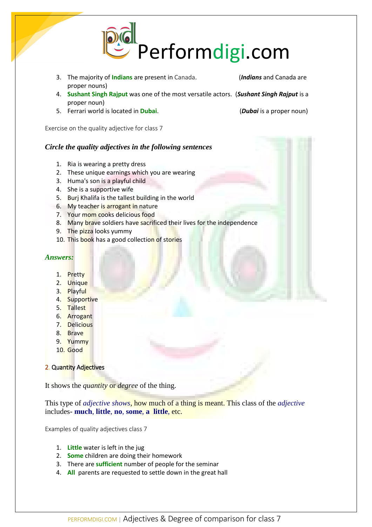

- 3. The majority of **Indians** are present in Canada. (*Indians* and Canada are proper nouns)
- 4. **Sushant Singh Rajput** was one of the most versatile actors. (*Sushant Singh Rajput* is a proper noun)
- 5. Ferrari world is located in **Dubai**. (*Dubai* is a proper noun)

Exercise on the quality adjective for class 7

### *Circle the quality adjectives in the following sentences*

- 1. Ria is wearing a pretty dress
- 2. These unique earnings which you are wearing
- 3. Huma's son is a playful child
- 4. She is a supportive wife
- 5. Burj Khalifa is the tallest building in the world
- 6. My teacher is arrogant in nature
- 7. Your mom cooks delicious food
- 8. Many brave soldiers have sacrificed their lives for the independence
- 9. The pizza looks yummy
- 10. This book has a good collection of stories

#### *Answers:*

- 1. Pretty
- 2. Unique
- 3. Playful
- 4. Supportive
- 5. Tallest
- 6. Arrogant
- 7. Delicious
- 8. Brave
- 9. Yummy
- 10. Good

# 2. Quantity Adjectives

It shows the *quantity* or *degree* of the thing.

This type of *adjective shows*, how much of a thing is meant. This class of the *adjective* includes- **much**, **little**, **no**, **some**, **a little**, etc.

Examples of quality adjectives class 7

- 1. **Little** water is left in the jug
- 2. **Some** children are doing their homework
- 3. There are **sufficient** number of people for the seminar
- 4. **All** parents are requested to settle down in the great hall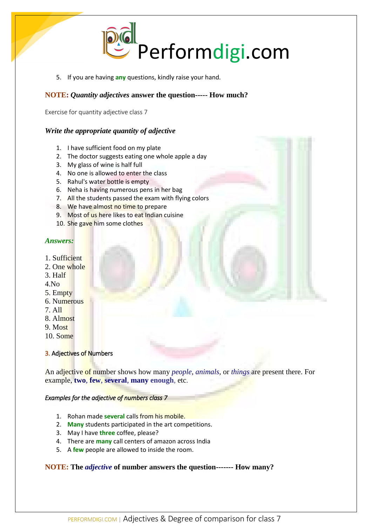

5. If you are having **any** questions, kindly raise your hand.

# **NOTE:** *Quantity adjectives* **answer the question----- How much?**

Exercise for quantity adjective class 7

# *Write the appropriate quantity of adjective*

- 1. I have sufficient food on my plate
- 2. The doctor suggests eating one whole apple a day
- 3. My glass of wine is half full
- 4. No one is allowed to enter the class
- 5. Rahul's water bottle is empty
- 6. Neha is having numerous pens in her bag
- 7. All the students passed the exam with flying colors
- 8. We have almost no time to prepare
- 9. Most of us here likes to eat Indian cuisine
- 10. She gave him some clothes

### *Answers:*

- 1. Sufficient
- 2. One whole
- 3. Half
- 4.No
- 5. Empty
- 6. Numerous
- 7. All
- 8. Almost
- 9. Most
- 10. Some

# **3. Adjectives of Numbers**

An adjective of number shows how many *people*, *animals*, or *things* are present there. For example, **two**, **few**, **several**, **many enough**, etc.

# *Examples for the adjective of numbers class 7*

- 1. Rohan made **several** calls from his mobile.
- 2. **Many** students participated in the art competitions.
- 3. May I have **three** coffee, please?
- 4. There are **many** call centers of amazon across India
- 5. A **few** people are allowed to inside the room.

# **NOTE: The** *adjective* **of number answers the question------- How many?**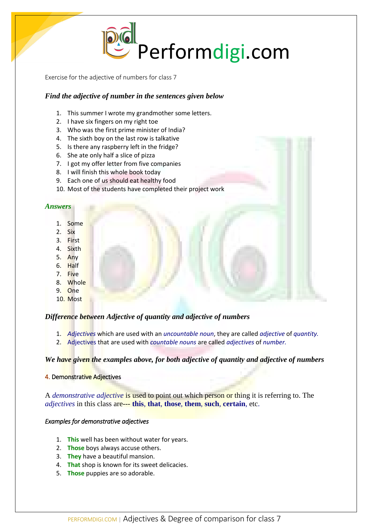Performdigi.com

Exercise for the adjective of numbers for class 7

### *Find the adjective of number in the sentences given below*

- 1. This summer I wrote my grandmother some letters.
- 2. I have six fingers on my right toe
- 3. Who was the first prime minister of India?
- 4. The sixth boy on the last row is talkative
- 5. Is there any raspberry left in the fridge?
- 6. She ate only half a slice of pizza
- 7. I got my offer letter from five companies
- 8. I will finish this whole book today
- 9. Each one of us should eat healthy food
- 10. Most of the students have completed their project work

#### *Answers*

- 1. Some
- 2. Six
- 3. First
- 4. Sixth
- 5. Any
- 6. Half
- 7. Five
- 8. Whole
- 9. One
- 10. Most

#### *Difference between Adjective of quantity and adjective of numbers*

- 1. *Adjectives* which are used with an *uncountable noun*, they are called *adjective* of *quantity.*
- 2. Adjectives that are used with *countable nouns* are called *adjectives* of *number.*

#### *We have given the examples above, for both adjective of quantity and adjective of numbers*

#### 4. Demonstrative Adjectives

A *demonstrative adjective* is used to point out which person or thing it is referring to. The *adjectives* in this class are--- **this**, **that**, **those**, **them**, **such**, **certain**, etc.

#### *Examples for demonstrative adjectives*

- 1. **This** well has been without water for years.
- 2. **Those** boys always accuse others.
- 3. **They** have a beautiful mansion.
- 4. **That** shop is known for its sweet delicacies.
- 5. **Those** puppies are so adorable.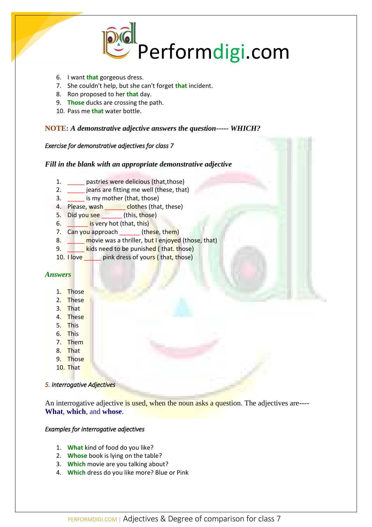

- 6. I want **that** gorgeous dress.
- 7. She couldn't help, but she can't forget **that** incident.
- 8. Ron proposed to her **that** day.
- 9. **Those** ducks are crossing the path.
- 10. Pass me **that** water bottle.

# **NOTE:** *A demonstrative adjective answers the question----- WHICH?*

#### *Exercise for demonstrative adjectives for class 7*

# *Fill in the blank with an appropriate demonstrative adjective*

- 1. \_\_\_\_\_ pastries were delicious (that,those)
- 2. \_\_\_\_\_ jeans are fitting me well (these, that)
- 3. \_\_\_\_\_ is my mother (that, those)
- 4. Please, wash \_\_\_\_\_\_\_\_ clothes (that, these)
- 5. Did you see (this, those)
- 6. **Letter is very hot (that, this)**
- 7. Can you approach \_\_\_\_\_\_\_ (these, them)
- 8. **Example 1** movie was a thriller, but I enjoyed (those, that)
- 9. **http://willet.org/controllet.org/setter** control of the **kindle control of the kindle control of the kindle control of the kindle control of the kindle control of the kindle control of the kindle control of the kindle**
- 10. I love **the pink dress of yours (** that, those)

### *Answers*

- 1. Those
- 2. These
- 3. That
- 4. These
- 5. This
- 6. This
- 7. Them
- 8. That
- 9. Those
- 10. That

#### *5. Interrogative Adjectives*

An interrogative adjective is used, when the noun asks a question. The adjectives are----**What**, **which**, and **whose**.

# *Examples for interrogative adjectives*

- 1. **What** kind of food do you like?
- 2. **Whose** book is lying on the table?
- 3. **Which** movie are you talking about?
- 4. **Which** dress do you like more? Blue or Pink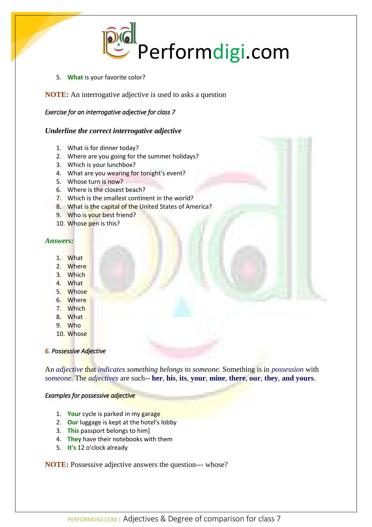

5. **What** is your favorite color?

**NOTE:** An interrogative adjective is used to asks a question

# *Exercise for an interrogative adjective for class 7*

# *Underline the correct interrogative adjective*

- 1. What is for dinner today?
- 2. Where are you going for the summer holidays?
- 3. Which is your lunchbox?
- 4. What are you wearing for tonight's event?
- 5. Whose turn is now?
- 6. Where is the closest beach?
- 7. Which is the smallest continent in the world?
- 8. What is the capital of the United States of America?
- 9. Who is your best friend?
- 10. Whose pen is this?

### *Answers:*

- 1. What
- 2. Where
- 3. Which
- 4. What
- 5. Whose
- 6. Where
- 7. Which
- 8. What
- 9. Who
- 10. Whose

# *6. Possessive Adjective*

An *adjective* that *indicates something belongs* to *someone*. Something is in *possession* with *someone*. The *adjectives* are such-- **her**, **his**, **its**, **your**, **mine**, **there**, **our**, **they**, **and yours**.

#### *Examples for possessive adjective*

- 1. **Your** cycle is parked in my garage
- 2. **Our** luggage is kept at the hotel's lobby
- 3. **This** passport belongs to him]
- 4. **They** have their notebooks with them
- 5. **It's** 12 o'clock already

**NOTE:** Possessive adjective answers the question--- whose?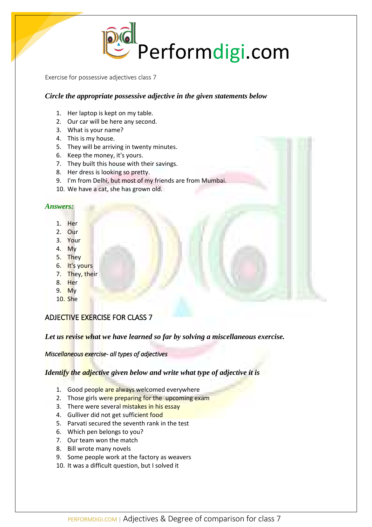

Exercise for possessive adjectives class 7

### *Circle the appropriate possessive adjective in the given statements below*

- 1. Her laptop is kept on my table.
- 2. Our car will be here any second.
- 3. What is your name?
- 4. This is my house.
- 5. They will be arriving in twenty minutes.
- 6. Keep the money, it's yours.
- 7. They built this house with their savings.
- 8. Her dress is looking so pretty.
- 9. I'm from Delhi, but most of my friends are from Mumbai.
- 10. We have a cat, she has grown old.

#### *Answers:*

- 1. Her
- 2. Our
- 3. Your
- 4. My
- 5. They
- 6. It's yours
- 7. They, their
- 8. Her
- 9. My
- 10. She

# ADJECTIVE EXERCISE FOR CLASS 7

*Let us revise what we have learned so far by solving a miscellaneous exercise.*

*Miscellaneous exercise- all types of adjectives* 

*Identify the adjective given below and write what type of adjective it is*

- 1. Good people are always welcomed everywhere
- 2. Those girls were preparing for the upcoming exam
- 3. There were several mistakes in his essay
- 4. Gulliver did not get sufficient food
- 5. Parvati secured the seventh rank in the test
- 6. Which pen belongs to you?
- 7. Our team won the match
- 8. Bill wrote many novels
- 9. Some people work at the factory as weavers
- 10. It was a difficult question, but I solved it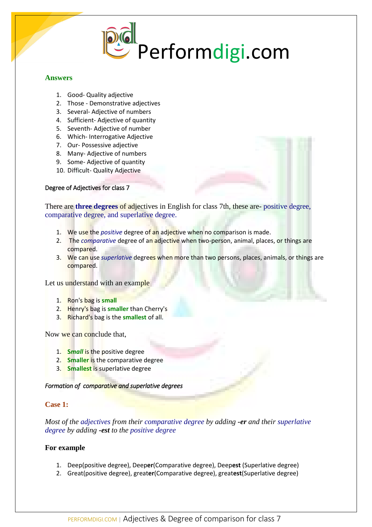

#### **Answers**

- 1. Good- Quality adjective
- 2. Those Demonstrative adjectives
- 3. Several- Adjective of numbers
- 4. Sufficient- Adjective of quantity
- 5. Seventh- Adjective of number
- 6. Which- Interrogative Adjective
- 7. Our- Possessive adjective
- 8. Many- Adjective of numbers
- 9. Some- Adjective of quantity
- 10. Difficult- Quality Adjective

#### Degree of Adjectives for class 7

There are **three degrees** of adjectives in English for class 7th, these are- positive degree, comparative degree, and superlative degree.

- 1. We use the *positive* degree of an adjective when no comparison is made.
- 2. The *comparative* degree of an adjective when two-person, animal, places, or things are compared.
- 3. We can use *superlative* degrees when more than two persons, places, animals, or things are compared.

Let us understand with an example

- 1. Ron's bag is **small**
- 2. Henry's bag is **smaller** than Cherry's
- 3. Richard's bag is the **smallest** of all.

Now we can conclude that,

- 1. **S***mall* is the positive degree
- 2. **Smaller** is the comparative degree
- 3. **Smallest** is superlative degree

*Formation of comparative and superlative degrees* 

#### **Case 1:**

*Most of the adjectives from their comparative degree by adding -er and their superlative degree by adding -est to the positive degree*

### **For example**

- 1. Deep(positive degree), Deep**er**(Comparative degree), Deep**est** (Superlative degree)
- 2. Great(positive degree), great**er**(Comparative degree), great**est**(Superlative degree)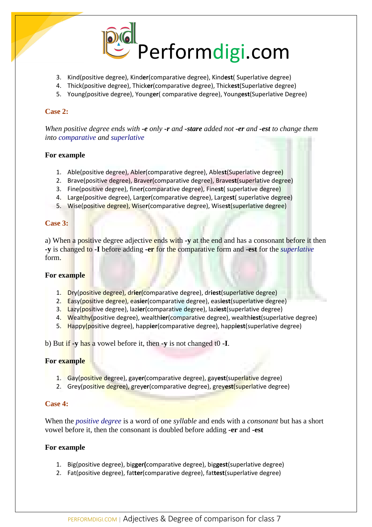

- 3. Kind(positive degree), Kind**er**(comparative degree), Kind**est**( Superlative degree)
- 4. Thick(positive degree), Thick**er**(comparative degree), Thick**est**(Superlative degree)
- 5. Young(positive degree), Young**er**( comparative degree), Young**est**(Superlative Degree)

#### **Case 2:**

*When positive degree ends with -e only -r and -stare added not -er and -est to change them into comparative and superlative*

### **For example**

- 1. Able(positive degree), Able**r**(comparative degree), Able**st**(Superlative degree)
- 2. Brave(positive degree), Brave**r**(comparative degree), Brave**st**(superlative degree)
- 3. Fine(positive degree), fine**r**(comparative degree), Fine**st**( superlative degree)
- 4. Large(positive degree), Large**r**(comparative degree), Large**st**( superlative degree)
- 5. Wise(positive degree), Wise**r**(comparative degree), Wise**st**(superlative degree)

### **Case 3:**

a) When a positive degree adjective ends with **-y** at the end and has a consonant before it then **-y** is changed to **-I** before adding **-er** for the comparative form and **-est** for the *superlative* form.

#### **For example**

- 1. Dry(positive degree), dr**ier**(comparative degree), dr**iest**(superlative degree)
- 2. Easy(positive degree), ea**sier**(comparative degree), eas**iest**(superlative degree)
- 3. Lazy(positive degree), laz**ier**(comparative degree), laz**iest**(superlative degree)
- 4. Wealthy(positive degree), wealth**ier**(comparative degree), wealth**iest**(superlative degree)
- 5. Happy(positive degree), happ**ier**(comparative degree), happ**iest**(superlative degree)

b) But if **-y** has a vowel before it, then **-y** is not changed t0 **-I**.

# **For example**

- 1. Gay(positive degree), gay**er**(comparative degree), gay**est**(superlative degree)
- 2. Grey(positive degree), grey**er**(comparative degree), grey**est**(superlative degree)

#### **Case 4:**

When the *positive degree* is a word of one *syllable* and ends with a *consonant* but has a short vowel before it, then the consonant is doubled before adding **-er** and **-est**

# **For example**

- 1. Big(positive degree), big**ger(**comparative degree), big**gest**(superlative degree)
- 2. Fat(positive degree), fat**ter**(comparative degree), fat**test**(superlative degree)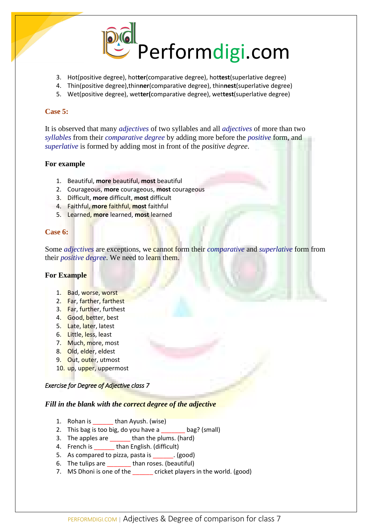

- 3. Hot(positive degree), hot**ter**(comparative degree), hot**test**(superlative degree)
- 4. Thin(positive degree),thin**ner**(comparative degree), thin**nest**(superlative degree)
- 5. Wet(positive degree), wet**ter(**comparative degree), wet**test**(superlative degree)

#### **Case 5:**

It is observed that many *adjectives* of two syllables and all *adjectives* of more than two *syllables* from their *comparative degree* by adding more before the *positive* form, and *superlative* is formed by adding most in front of the *positive degree*.

### **For example**

- 1. Beautiful, **more** beautiful, **most** beautiful
- 2. Courageous, **more** courageous, **most** courageous
- 3. Difficult, **more** difficult, **most** difficult
- 4. Faithful, **more** faithful, **most** faithful
- 5. Learned, **more** learned, **most** learned

### **Case 6:**

Some *adjectives* are exceptions, we cannot form their *comparative* and *superlative* form from their *positive degree*. We need to learn them.

# **For Example**

- 1. Bad, worse, worst
- 2. Far, farther, farthest
- 3. Far, further, furthest
- 4. Good, better, best
- 5. Late, later, latest
- 6. Little, less, least
- 7. Much, more, most
- 8. Old, elder, eldest
- 9. Out, outer, utmost
- 10. up, upper, uppermost

#### *Exercise for Degree of Adjective class 7*

#### *Fill in the blank with the correct degree of the adjective*

- 1. Rohan is than Ayush. (wise)
- 2. This bag is too big, do you have a bag? (small)
- 3. The apples are \_\_\_\_\_\_ than the plums. (hard)
- 4. French is \_\_\_\_\_\_ than English. (difficult)
- 5. As compared to pizza, pasta is \_\_\_\_\_\_. (good)
- 6. The tulips are than roses. (beautiful)
- 7. MS Dhoni is one of the cricket players in the world. (good)